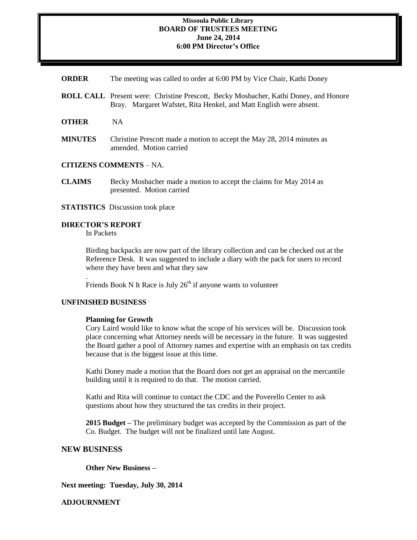## **Missoula Public Library BOARD OF TRUSTEES MEETING June 24, 2014 6:00 PM Director's Office**

- **ORDER** The meeting was called to order at 6:00 PM by Vice Chair, Kathi Doney
- **ROLL CALL** Present were: Christine Prescott, Becky Mosbacher, Kathi Doney, and Honore Bray. Margaret Wafstet, Rita Henkel, and Matt English were absent.
- **OTHER** NA
- **MINUTES** Christine Prescott made a motion to accept the May 28, 2014 minutes as amended. Motion carried

# **CITIZENS COMMENTS** – NA.

- **CLAIMS** Becky Mosbacher made a motion to accept the claims for May 2014 as presented. Motion carried
- **STATISTICS** Discussion took place

# **DIRECTOR'S REPORT**

In Packets

Birding backpacks are now part of the library collection and can be checked out at the Reference Desk. It was suggested to include a diary with the pack for users to record where they have been and what they saw

Friends Book N It Race is July  $26<sup>th</sup>$  if anyone wants to volunteer

### **UNFINISHED BUSINESS**

.

#### **Planning for Growth**

Cory Laird would like to know what the scope of his services will be. Discussion took place concerning what Attorney needs will be necessary in the future. It was suggested the Board gather a pool of Attorney names and expertise with an emphasis on tax credits because that is the biggest issue at this time.

Kathi Doney made a motion that the Board does not get an appraisal on the mercantile building until it is required to do that. The motion carried.

Kathi and Rita will continue to contact the CDC and the Poverello Center to ask questions about how they structured the tax credits in their project.

**2015 Budget –** The preliminary budget was accepted by the Commission as part of the Co. Budget. The budget will not be finalized until late August.

## **NEW BUSINESS**

**Other New Business –**

**Next meeting: Tuesday, July 30, 2014**

**ADJOURNMENT**